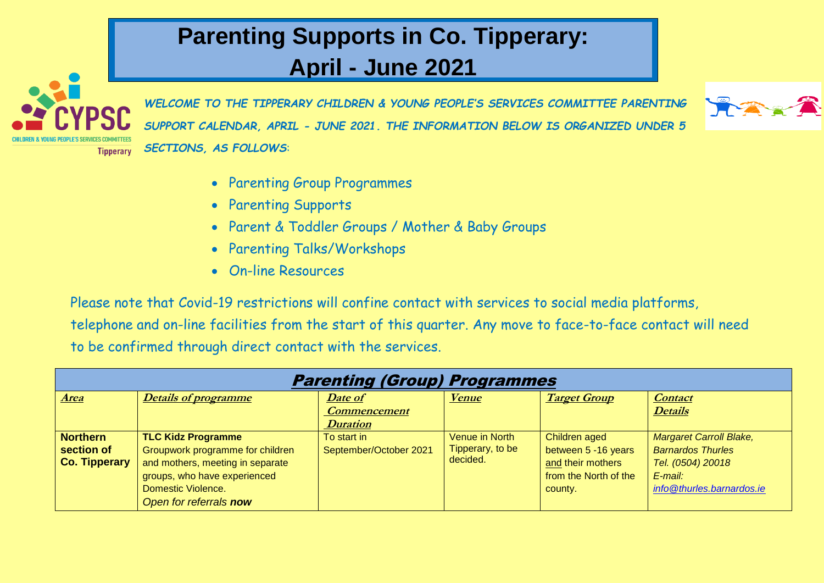## **Parenting Supports in Co. Tipperary: April - June 2021**



*WELCOME TO THE TIPPERARY CHILDREN & YOUNG PEOPLE'S SERVICES COMMITTEE PARENTING SUPPORT CALENDAR, APRIL - JUNE 2021. THE INFORMATION BELOW IS ORGANIZED UNDER 5 SECTIONS, AS FOLLOWS*:



- Parenting Group Programmes
- Parenting Supports
- Parent & Toddler Groups / Mother & Baby Groups
- Parenting Talks/Workshops
- On-line Resources

Please note that Covid-19 restrictions will confine contact with services to social media platforms, telephone and on-line facilities from the start of this quarter. Any move to face-to-face contact will need to be confirmed through direct contact with the services.

| <b>Parenting (Group) Programmes</b>                   |                                                                                                                                                                                   |                                                          |                                                |                                                                                               |                                                                                                                         |  |  |  |
|-------------------------------------------------------|-----------------------------------------------------------------------------------------------------------------------------------------------------------------------------------|----------------------------------------------------------|------------------------------------------------|-----------------------------------------------------------------------------------------------|-------------------------------------------------------------------------------------------------------------------------|--|--|--|
| <b>Area</b>                                           | <b>Details of programme</b>                                                                                                                                                       | Date of<br><b>Commencement</b><br><i><b>Duration</b></i> | Venue                                          | <b>Target Group</b>                                                                           | <b>Contact</b><br><b>Details</b>                                                                                        |  |  |  |
| <b>Northern</b><br>section of<br><b>Co. Tipperary</b> | <b>TLC Kidz Programme</b><br>Groupwork programme for children<br>and mothers, meeting in separate<br>groups, who have experienced<br>Domestic Violence.<br>Open for referrals now | To start in<br>September/October 2021                    | Venue in North<br>Tipperary, to be<br>decided. | Children aged<br>between 5 -16 years<br>and their mothers<br>from the North of the<br>county. | <b>Margaret Carroll Blake,</b><br><b>Barnardos Thurles</b><br>Tel. (0504) 20018<br>E-mail:<br>info@thurles.barnardos.ie |  |  |  |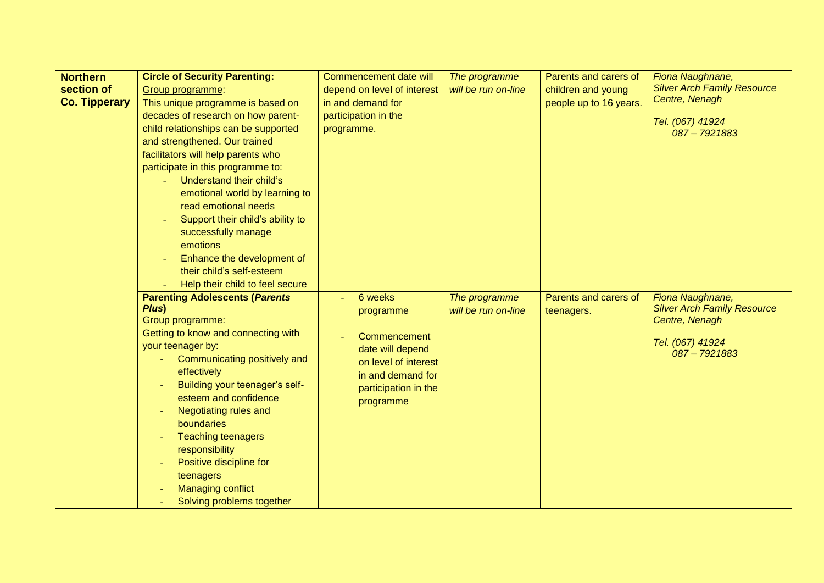| <b>Northern</b>      | <b>Circle of Security Parenting:</b>  | Commencement date will      | The programme       | Parents and carers of  | Fiona Naughnane,                   |
|----------------------|---------------------------------------|-----------------------------|---------------------|------------------------|------------------------------------|
| section of           | Group programme:                      | depend on level of interest | will be run on-line | children and young     | <b>Silver Arch Family Resource</b> |
| <b>Co. Tipperary</b> | This unique programme is based on     | in and demand for           |                     | people up to 16 years. | Centre, Nenagh                     |
|                      | decades of research on how parent-    | participation in the        |                     |                        | Tel. (067) 41924                   |
|                      | child relationships can be supported  | programme.                  |                     |                        | 087-7921883                        |
|                      | and strengthened. Our trained         |                             |                     |                        |                                    |
|                      | facilitators will help parents who    |                             |                     |                        |                                    |
|                      | participate in this programme to:     |                             |                     |                        |                                    |
|                      | Understand their child's              |                             |                     |                        |                                    |
|                      | emotional world by learning to        |                             |                     |                        |                                    |
|                      | read emotional needs                  |                             |                     |                        |                                    |
|                      | Support their child's ability to      |                             |                     |                        |                                    |
|                      | successfully manage                   |                             |                     |                        |                                    |
|                      | emotions                              |                             |                     |                        |                                    |
|                      | Enhance the development of            |                             |                     |                        |                                    |
|                      | their child's self-esteem             |                             |                     |                        |                                    |
|                      | Help their child to feel secure       |                             |                     |                        |                                    |
|                      | <b>Parenting Adolescents (Parents</b> | 6 weeks                     | The programme       | Parents and carers of  | Fiona Naughnane,                   |
|                      | Plus)                                 | programme                   | will be run on-line | teenagers.             | <b>Silver Arch Family Resource</b> |
|                      | Group programme:                      |                             |                     |                        | Centre, Nenagh                     |
|                      | Getting to know and connecting with   | Commencement                |                     |                        | Tel. (067) 41924                   |
|                      | your teenager by:                     | date will depend            |                     |                        | 087-7921883                        |
|                      | Communicating positively and          | on level of interest        |                     |                        |                                    |
|                      | effectively                           | in and demand for           |                     |                        |                                    |
|                      | Building your teenager's self-        | participation in the        |                     |                        |                                    |
|                      | esteem and confidence                 | programme                   |                     |                        |                                    |
|                      | Negotiating rules and                 |                             |                     |                        |                                    |
|                      | boundaries                            |                             |                     |                        |                                    |
|                      | <b>Teaching teenagers</b>             |                             |                     |                        |                                    |
|                      | responsibility                        |                             |                     |                        |                                    |
|                      | Positive discipline for               |                             |                     |                        |                                    |
|                      | teenagers                             |                             |                     |                        |                                    |
|                      | <b>Managing conflict</b>              |                             |                     |                        |                                    |
|                      | Solving problems together             |                             |                     |                        |                                    |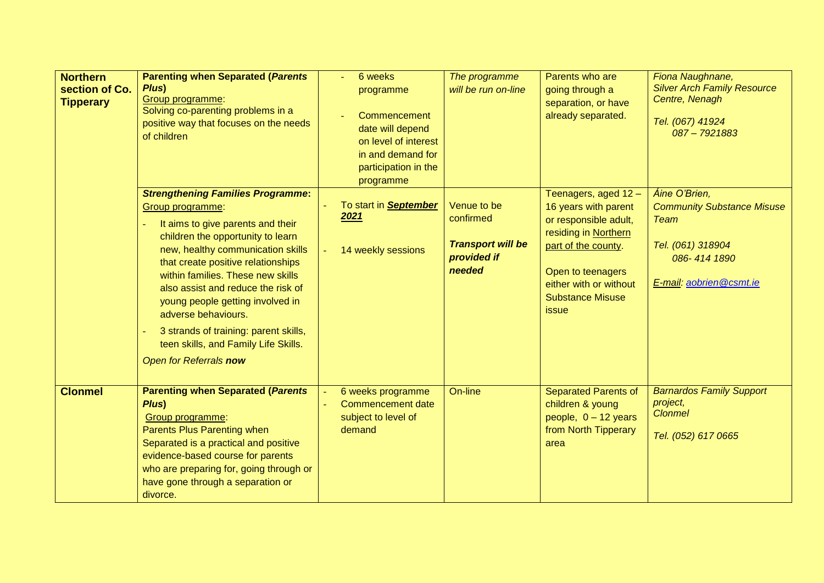| <b>Northern</b><br>section of Co.<br><b>Tipperary</b> | <b>Parenting when Separated (Parents</b><br>Plus)<br>Group programme:<br>Solving co-parenting problems in a<br>positive way that focuses on the needs<br>of children                                                                                                                                                                                                                                                                                               | 6 weeks<br>programme<br>Commencement<br>date will depend<br>on level of interest<br>in and demand for<br>participation in the<br>programme | The programme<br>will be run on-line                                          | Parents who are<br>going through a<br>separation, or have<br>already separated.                                                                                                                         | Fiona Naughnane,<br><b>Silver Arch Family Resource</b><br>Centre, Nenagh<br>Tel. (067) 41924<br>087-7921883                       |
|-------------------------------------------------------|--------------------------------------------------------------------------------------------------------------------------------------------------------------------------------------------------------------------------------------------------------------------------------------------------------------------------------------------------------------------------------------------------------------------------------------------------------------------|--------------------------------------------------------------------------------------------------------------------------------------------|-------------------------------------------------------------------------------|---------------------------------------------------------------------------------------------------------------------------------------------------------------------------------------------------------|-----------------------------------------------------------------------------------------------------------------------------------|
|                                                       | <b>Strengthening Families Programme:</b><br>Group programme:<br>It aims to give parents and their<br>children the opportunity to learn<br>new, healthy communication skills<br>that create positive relationships<br>within families. These new skills<br>also assist and reduce the risk of<br>young people getting involved in<br>adverse behaviours.<br>3 strands of training: parent skills,<br>teen skills, and Family Life Skills.<br>Open for Referrals now | To start in <b>September</b><br>2021<br>14 weekly sessions                                                                                 | Venue to be<br>confirmed<br><b>Transport will be</b><br>provided if<br>needed | Teenagers, aged 12 -<br>16 years with parent<br>or responsible adult,<br>residing in Northern<br>part of the county.<br>Open to teenagers<br>either with or without<br><b>Substance Misuse</b><br>issue | Áine O'Brien,<br><b>Community Substance Misuse</b><br><b>Team</b><br>Tel. (061) 318904<br>086-414 1890<br>E-mail: aobrien@csmt.ie |
| <b>Clonmel</b>                                        | <b>Parenting when Separated (Parents</b><br>Plus)<br>Group programme:<br>Parents Plus Parenting when<br>Separated is a practical and positive<br>evidence-based course for parents<br>who are preparing for, going through or<br>have gone through a separation or<br>divorce.                                                                                                                                                                                     | 6 weeks programme<br>Commencement date<br>subject to level of<br>demand                                                                    | On-line                                                                       | Separated Parents of<br>children & young<br>people, $0 - 12$ years<br>from North Tipperary<br>area                                                                                                      | <b>Barnardos Family Support</b><br>project,<br><b>Clonmel</b><br>Tel. (052) 617 0665                                              |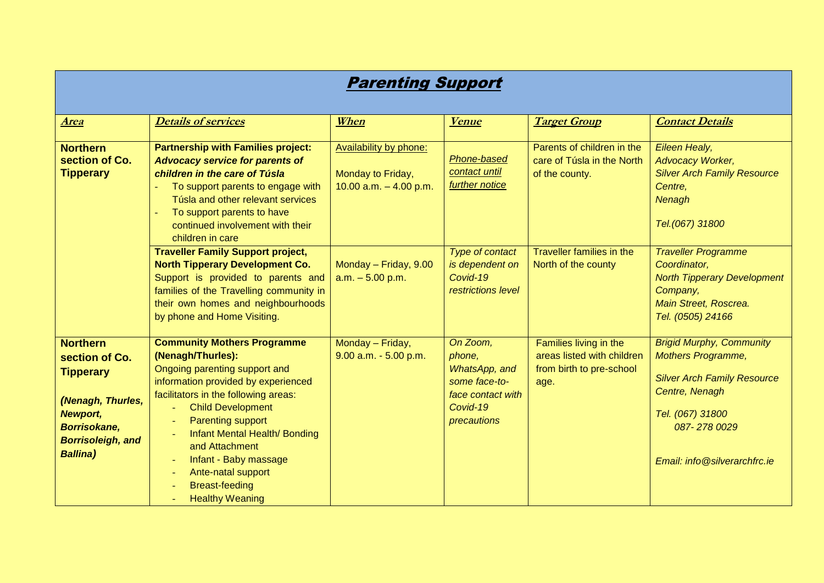| <b>Parenting Support</b>                                                                                                                                            |                                                                                                                                                                                                                                                                                                                                                                                      |                                                                                |                                                                                                      |                                                                                          |                                                                                                                                                                                         |  |  |  |
|---------------------------------------------------------------------------------------------------------------------------------------------------------------------|--------------------------------------------------------------------------------------------------------------------------------------------------------------------------------------------------------------------------------------------------------------------------------------------------------------------------------------------------------------------------------------|--------------------------------------------------------------------------------|------------------------------------------------------------------------------------------------------|------------------------------------------------------------------------------------------|-----------------------------------------------------------------------------------------------------------------------------------------------------------------------------------------|--|--|--|
| <b>Area</b>                                                                                                                                                         | <b>Details of services</b>                                                                                                                                                                                                                                                                                                                                                           | When                                                                           | <b>Venue</b>                                                                                         | <b>Target Group</b>                                                                      | <b>Contact Details</b>                                                                                                                                                                  |  |  |  |
| <b>Northern</b><br>section of Co.<br><b>Tipperary</b>                                                                                                               | <b>Partnership with Families project:</b><br><b>Advocacy service for parents of</b><br>children in the care of Túsla<br>To support parents to engage with<br>Túsla and other relevant services<br>To support parents to have<br>continued involvement with their<br>children in care                                                                                                 | <b>Availability by phone:</b><br>Monday to Friday,<br>10.00 $a.m. - 4.00 p.m.$ | Phone-based<br>contact until<br>further notice                                                       | Parents of children in the<br>care of Túsla in the North<br>of the county.               | Eileen Healy,<br>Advocacy Worker,<br><b>Silver Arch Family Resource</b><br>Centre,<br>Nenagh<br>Tel.(067) 31800                                                                         |  |  |  |
|                                                                                                                                                                     | <b>Traveller Family Support project,</b><br><b>North Tipperary Development Co.</b><br>Support is provided to parents and<br>families of the Travelling community in<br>their own homes and neighbourhoods<br>by phone and Home Visiting.                                                                                                                                             | Monday - Friday, 9.00<br>$a.m. - 5.00 p.m.$                                    | Type of contact<br>is dependent on<br>Covid-19<br>restrictions level                                 | Traveller families in the<br>North of the county                                         | <b>Traveller Programme</b><br>Coordinator,<br><b>North Tipperary Development</b><br>Company,<br>Main Street, Roscrea.<br>Tel. (0505) 24166                                              |  |  |  |
| <b>Northern</b><br>section of Co.<br><b>Tipperary</b><br>(Nenagh, Thurles,<br><b>Newport,</b><br><b>Borrisokane,</b><br><b>Borrisoleigh, and</b><br><b>Ballina)</b> | <b>Community Mothers Programme</b><br>(Nenagh/Thurles):<br>Ongoing parenting support and<br>information provided by experienced<br>facilitators in the following areas:<br><b>Child Development</b><br><b>Parenting support</b><br>Infant Mental Health/ Bonding<br>and Attachment<br>Infant - Baby massage<br>Ante-natal support<br><b>Breast-feeding</b><br><b>Healthy Weaning</b> | Monday - Friday,<br>$9.00$ a.m. $-5.00$ p.m.                                   | On Zoom,<br>phone,<br>WhatsApp, and<br>some face-to-<br>face contact with<br>Covid-19<br>precautions | Families living in the<br>areas listed with children<br>from birth to pre-school<br>age. | <b>Brigid Murphy, Community</b><br><b>Mothers Programme,</b><br><b>Silver Arch Family Resource</b><br>Centre, Nenagh<br>Tel. (067) 31800<br>087-2780029<br>Email: info@silverarchfrc.ie |  |  |  |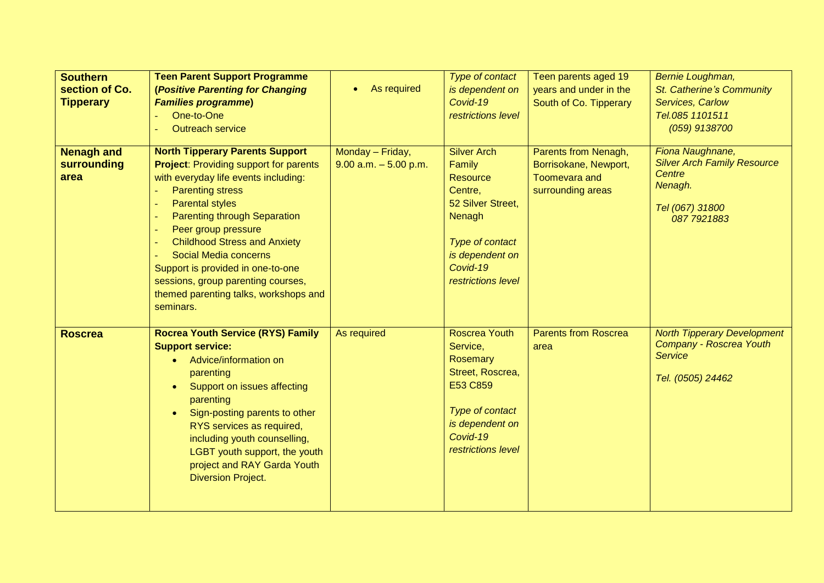| <b>Southern</b>   | <b>Teen Parent Support Programme</b>            |                          | Type of contact      | Teen parents aged 19        | Bernie Loughman,                   |
|-------------------|-------------------------------------------------|--------------------------|----------------------|-----------------------------|------------------------------------|
| section of Co.    | (Positive Parenting for Changing                | As required<br>$\bullet$ | is dependent on      | years and under in the      | St. Catherine's Community          |
| <b>Tipperary</b>  | <b>Families programme)</b>                      |                          | Covid-19             | South of Co. Tipperary      | Services, Carlow                   |
|                   | One-to-One                                      |                          | restrictions level   |                             | Tel.085 1101511                    |
|                   | <b>Outreach service</b>                         |                          |                      |                             | (059) 9138700                      |
|                   |                                                 |                          |                      |                             |                                    |
| <b>Nenagh and</b> | <b>North Tipperary Parents Support</b>          | Monday - Friday,         | <b>Silver Arch</b>   | Parents from Nenagh,        | Fiona Naughnane,                   |
| surrounding       | <b>Project: Providing support for parents</b>   | $9.00$ a.m. $-5.00$ p.m. | Family               | Borrisokane, Newport,       | <b>Silver Arch Family Resource</b> |
| area              | with everyday life events including:            |                          | <b>Resource</b>      | Toomevara and               | Centre<br>Nenagh.                  |
|                   | <b>Parenting stress</b>                         |                          | Centre,              | surrounding areas           |                                    |
|                   | <b>Parental styles</b>                          |                          | 52 Silver Street,    |                             | Tel (067) 31800                    |
|                   | <b>Parenting through Separation</b><br>$\equiv$ |                          | Nenagh               |                             | 087 792 1883                       |
|                   | Peer group pressure<br>$\equiv$                 |                          |                      |                             |                                    |
|                   | <b>Childhood Stress and Anxiety</b>             |                          | Type of contact      |                             |                                    |
|                   | Social Media concerns                           |                          | is dependent on      |                             |                                    |
|                   | Support is provided in one-to-one               |                          | Covid-19             |                             |                                    |
|                   | sessions, group parenting courses,              |                          | restrictions level   |                             |                                    |
|                   | themed parenting talks, workshops and           |                          |                      |                             |                                    |
|                   | seminars.                                       |                          |                      |                             |                                    |
|                   |                                                 |                          |                      |                             |                                    |
| <b>Roscrea</b>    | <b>Rocrea Youth Service (RYS) Family</b>        | As required              | <b>Roscrea Youth</b> | <b>Parents from Roscrea</b> | <b>North Tipperary Development</b> |
|                   | <b>Support service:</b>                         |                          | Service,             | area                        | Company - Roscrea Youth            |
|                   | Advice/information on<br>$\bullet$              |                          | <b>Rosemary</b>      |                             | <b>Service</b>                     |
|                   | parenting                                       |                          | Street, Roscrea,     |                             | Tel. (0505) 24462                  |
|                   | Support on issues affecting                     |                          | E53 C859             |                             |                                    |
|                   | parenting                                       |                          |                      |                             |                                    |
|                   | Sign-posting parents to other<br>$\bullet$      |                          | Type of contact      |                             |                                    |
|                   | RYS services as required,                       |                          | is dependent on      |                             |                                    |
|                   | including youth counselling,                    |                          | Covid-19             |                             |                                    |
|                   | LGBT youth support, the youth                   |                          | restrictions level   |                             |                                    |
|                   | project and RAY Garda Youth                     |                          |                      |                             |                                    |
|                   | <b>Diversion Project.</b>                       |                          |                      |                             |                                    |
|                   |                                                 |                          |                      |                             |                                    |
|                   |                                                 |                          |                      |                             |                                    |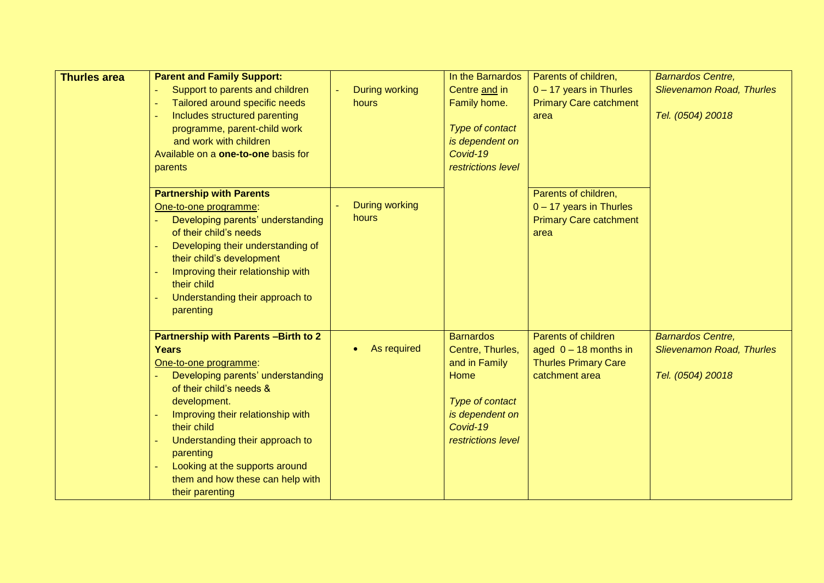| <b>Thurles area</b> | <b>Parent and Family Support:</b>                              |                                | In the Barnardos   | Parents of children,          | <b>Barnardos Centre,</b>         |
|---------------------|----------------------------------------------------------------|--------------------------------|--------------------|-------------------------------|----------------------------------|
|                     | Support to parents and children                                | <b>During working</b>          | Centre and in      | $0 - 17$ years in Thurles     | <b>Slievenamon Road, Thurles</b> |
|                     | Tailored around specific needs<br>$\Box$                       | hours                          | Family home.       | <b>Primary Care catchment</b> |                                  |
|                     | Includes structured parenting                                  |                                |                    | area                          | Tel. (0504) 20018                |
|                     | programme, parent-child work                                   |                                | Type of contact    |                               |                                  |
|                     | and work with children                                         |                                | is dependent on    |                               |                                  |
|                     | Available on a one-to-one basis for                            |                                | Covid-19           |                               |                                  |
|                     | parents                                                        |                                | restrictions level |                               |                                  |
|                     |                                                                |                                |                    |                               |                                  |
|                     | <b>Partnership with Parents</b>                                |                                |                    | Parents of children,          |                                  |
|                     | One-to-one programme:                                          | <b>During working</b><br>hours |                    | $0 - 17$ years in Thurles     |                                  |
|                     | Developing parents' understanding                              |                                |                    | <b>Primary Care catchment</b> |                                  |
|                     | of their child's needs                                         |                                |                    | area                          |                                  |
|                     | Developing their understanding of                              |                                |                    |                               |                                  |
|                     | their child's development<br>Improving their relationship with |                                |                    |                               |                                  |
|                     | their child                                                    |                                |                    |                               |                                  |
|                     | Understanding their approach to                                |                                |                    |                               |                                  |
|                     | parenting                                                      |                                |                    |                               |                                  |
|                     |                                                                |                                |                    |                               |                                  |
|                     | <b>Partnership with Parents-Birth to 2</b>                     |                                | <b>Barnardos</b>   | Parents of children           | <b>Barnardos Centre,</b>         |
|                     | <b>Years</b>                                                   | As required<br>$\bullet$       | Centre, Thurles,   | aged $0 - 18$ months in       | <b>Slievenamon Road, Thurles</b> |
|                     | One-to-one programme:                                          |                                | and in Family      | <b>Thurles Primary Care</b>   |                                  |
|                     | Developing parents' understanding                              |                                | Home               | catchment area                | Tel. (0504) 20018                |
|                     | of their child's needs &                                       |                                |                    |                               |                                  |
|                     | development.                                                   |                                | Type of contact    |                               |                                  |
|                     | Improving their relationship with                              |                                | is dependent on    |                               |                                  |
|                     | their child                                                    |                                | Covid-19           |                               |                                  |
|                     | Understanding their approach to                                |                                | restrictions level |                               |                                  |
|                     | parenting                                                      |                                |                    |                               |                                  |
|                     | Looking at the supports around                                 |                                |                    |                               |                                  |
|                     | them and how these can help with                               |                                |                    |                               |                                  |
|                     | their parenting                                                |                                |                    |                               |                                  |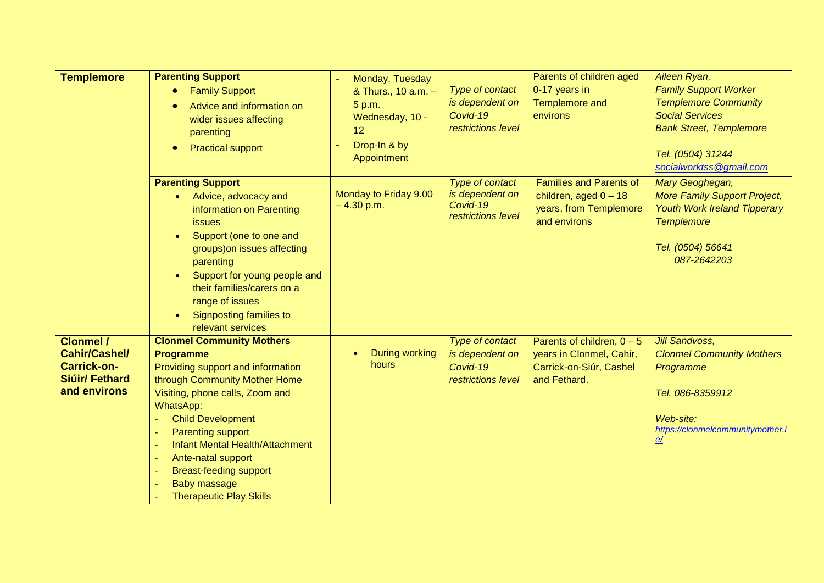| <b>Templemore</b>                                                                         | <b>Parenting Support</b><br><b>Family Support</b><br>$\bullet$<br>Advice and information on<br>wider issues affecting<br>parenting<br><b>Practical support</b><br>$\bullet$                                                                                                                                                                                                    | Monday, Tuesday<br>& Thurs., 10 a.m. -<br>5 p.m.<br>Wednesday, 10 -<br>12<br>Drop-In & by<br>$\overline{\phantom{0}}$<br>Appointment | Type of contact<br>is dependent on<br>Covid-19<br>restrictions level | Parents of children aged<br>0-17 years in<br><b>Templemore and</b><br>environs                      | Aileen Ryan,<br><b>Family Support Worker</b><br><b>Templemore Community</b><br><b>Social Services</b><br><b>Bank Street, Templemore</b><br>Tel. (0504) 31244<br>socialworktss@gmail.com |
|-------------------------------------------------------------------------------------------|--------------------------------------------------------------------------------------------------------------------------------------------------------------------------------------------------------------------------------------------------------------------------------------------------------------------------------------------------------------------------------|--------------------------------------------------------------------------------------------------------------------------------------|----------------------------------------------------------------------|-----------------------------------------------------------------------------------------------------|-----------------------------------------------------------------------------------------------------------------------------------------------------------------------------------------|
|                                                                                           | <b>Parenting Support</b><br>Advice, advocacy and<br>$\bullet$<br>information on Parenting<br><b>issues</b><br>Support (one to one and<br>groups) on issues affecting<br>parenting<br>Support for young people and<br>$\bullet$<br>their families/carers on a<br>range of issues<br>Signposting families to<br>$\bullet$<br>relevant services                                   | Monday to Friday 9.00<br>$-4.30 p.m.$                                                                                                | Type of contact<br>is dependent on<br>Covid-19<br>restrictions level | <b>Families and Parents of</b><br>children, aged $0 - 18$<br>years, from Templemore<br>and environs | Mary Geoghegan,<br><b>More Family Support Project,</b><br><b>Youth Work Ireland Tipperary</b><br><b>Templemore</b><br>Tel. (0504) 56641<br>087-2642203                                  |
| <b>Clonmel /</b><br>Cahir/Cashel/<br><b>Carrick-on-</b><br>Siúir/ Fethard<br>and environs | <b>Clonmel Community Mothers</b><br><b>Programme</b><br>Providing support and information<br>through Community Mother Home<br>Visiting, phone calls, Zoom and<br>WhatsApp:<br><b>Child Development</b><br><b>Parenting support</b><br>Infant Mental Health/Attachment<br>Ante-natal support<br><b>Breast-feeding support</b><br>Baby massage<br><b>Therapeutic Play Skills</b> | <b>During working</b><br>hours                                                                                                       | Type of contact<br>is dependent on<br>Covid-19<br>restrictions level | Parents of children, $0 - 5$<br>years in Clonmel, Cahir,<br>Carrick-on-Siúr, Cashel<br>and Fethard. | <b>Jill Sandvoss,</b><br><b>Clonmel Community Mothers</b><br>Programme<br>Tel. 086-8359912<br>Web-site:<br>https://clonmelcommunitymother.i<br>e/                                       |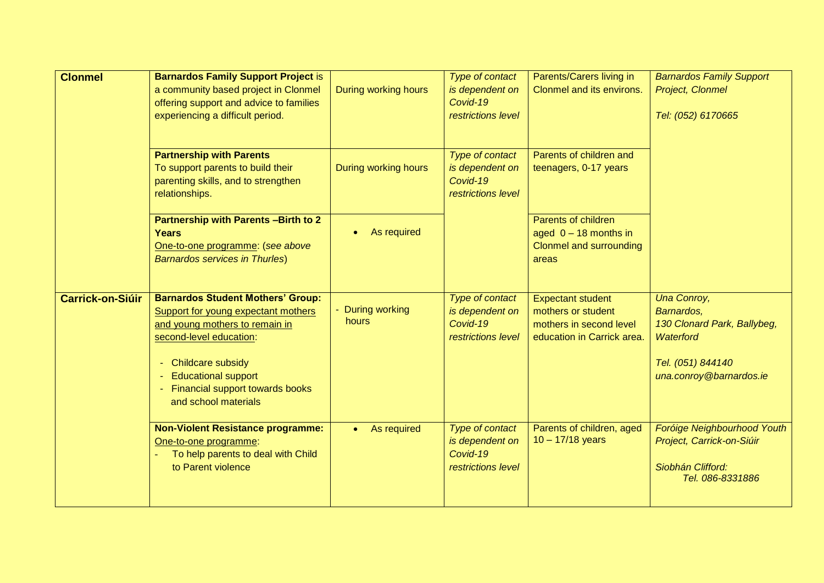| <b>Clonmel</b>          | <b>Barnardos Family Support Project is</b><br>a community based project in Clonmel<br>offering support and advice to families<br>experiencing a difficult period.                                                                                            | During working hours      | Type of contact<br>is dependent on<br>Covid-19<br>restrictions level        | Parents/Carers living in<br>Clonmel and its environs.                                                   | <b>Barnardos Family Support</b><br>Project, Clonmel<br>Tel: (052) 6170665                                                    |
|-------------------------|--------------------------------------------------------------------------------------------------------------------------------------------------------------------------------------------------------------------------------------------------------------|---------------------------|-----------------------------------------------------------------------------|---------------------------------------------------------------------------------------------------------|------------------------------------------------------------------------------------------------------------------------------|
|                         | <b>Partnership with Parents</b><br>To support parents to build their<br>parenting skills, and to strengthen<br>relationships.                                                                                                                                | During working hours      | Type of contact<br>is dependent on<br>Covid-19<br>restrictions level        | Parents of children and<br>teenagers, 0-17 years                                                        |                                                                                                                              |
|                         | <b>Partnership with Parents-Birth to 2</b><br><b>Years</b><br>One-to-one programme: (see above<br><b>Barnardos services in Thurles)</b>                                                                                                                      | As required               |                                                                             | <b>Parents of children</b><br>aged $0 - 18$ months in<br><b>Clonmel and surrounding</b><br>areas        |                                                                                                                              |
| <b>Carrick-on-Siúir</b> | <b>Barnardos Student Mothers' Group:</b><br>Support for young expectant mothers<br>and young mothers to remain in<br>second-level education:<br>- Childcare subsidy<br><b>Educational support</b><br>Financial support towards books<br>and school materials | - During working<br>hours | Type of contact<br>is dependent on<br>Covid-19<br>restrictions level        | <b>Expectant student</b><br>mothers or student<br>mothers in second level<br>education in Carrick area. | Una Conroy,<br>Barnardos,<br>130 Clonard Park, Ballybeg,<br><b>Waterford</b><br>Tel. (051) 844140<br>una.conroy@barnardos.ie |
|                         | <b>Non-Violent Resistance programme:</b><br>One-to-one programme:<br>To help parents to deal with Child<br>to Parent violence                                                                                                                                | As required<br>$\bullet$  | <b>Type of contact</b><br>is dependent on<br>Covid-19<br>restrictions level | Parents of children, aged<br>$10 - 17/18$ years                                                         | Foróige Neighbourhood Youth<br>Project, Carrick-on-Siúir<br>Siobhán Clifford:<br>Tel. 086-8331886                            |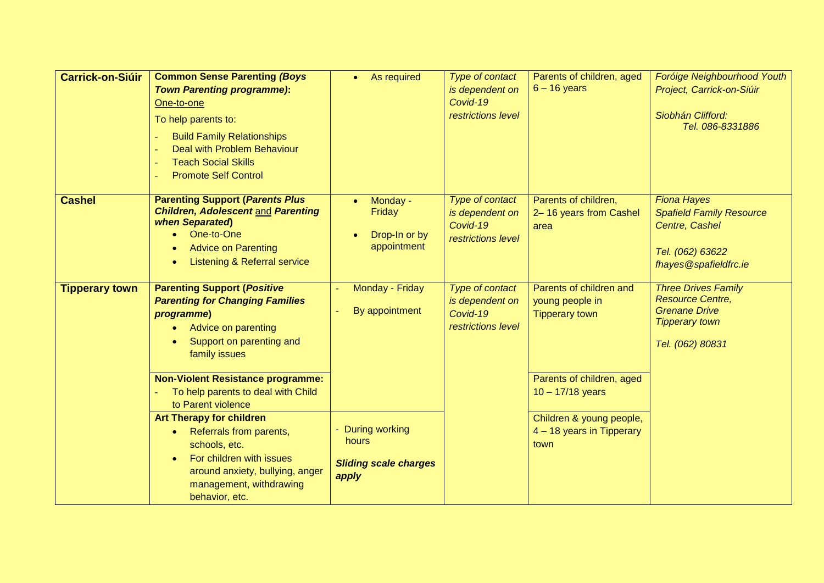| <b>Carrick-on-Siúir</b> | <b>Common Sense Parenting (Boys</b><br><b>Town Parenting programme):</b><br>One-to-one<br>To help parents to:<br><b>Build Family Relationships</b><br>Deal with Problem Behaviour<br><b>Teach Social Skills</b><br><b>Promote Self Control</b> | As required<br>$\bullet$                                                | <b>Type of contact</b><br>is dependent on<br>Covid-19<br>restrictions level | Parents of children, aged<br>$6 - 16$ years                         | Foróige Neighbourhood Youth<br>Project, Carrick-on-Siúir<br>Siobhán Clifford:<br>Tel. 086-8331886                          |
|-------------------------|------------------------------------------------------------------------------------------------------------------------------------------------------------------------------------------------------------------------------------------------|-------------------------------------------------------------------------|-----------------------------------------------------------------------------|---------------------------------------------------------------------|----------------------------------------------------------------------------------------------------------------------------|
| <b>Cashel</b>           | <b>Parenting Support (Parents Plus</b><br><b>Children, Adolescent and Parenting</b><br>when Separated)<br>One-to-One<br><b>Advice on Parenting</b><br><b>Listening &amp; Referral service</b>                                                  | Monday -<br>$\bullet$<br>Friday<br>Drop-In or by<br>appointment         | <b>Type of contact</b><br>is dependent on<br>Covid-19<br>restrictions level | Parents of children,<br>2-16 years from Cashel<br>area              | <b>Fiona Hayes</b><br><b>Spafield Family Resource</b><br>Centre, Cashel<br>Tel. (062) 63622<br>fhayes@spafieldfrc.ie       |
| <b>Tipperary town</b>   | <b>Parenting Support (Positive</b><br><b>Parenting for Changing Families</b><br>programme)<br>Advice on parenting<br>Support on parenting and<br>family issues                                                                                 | Monday - Friday<br>$\equiv$<br>By appointment                           | <b>Type of contact</b><br>is dependent on<br>Covid-19<br>restrictions level | Parents of children and<br>young people in<br><b>Tipperary town</b> | <b>Three Drives Family</b><br><b>Resource Centre,</b><br><b>Grenane Drive</b><br><b>Tipperary town</b><br>Tel. (062) 80831 |
|                         | <b>Non-Violent Resistance programme:</b><br>To help parents to deal with Child<br>to Parent violence                                                                                                                                           |                                                                         |                                                                             | Parents of children, aged<br>$10 - 17/18$ years                     |                                                                                                                            |
|                         | <b>Art Therapy for children</b><br>Referrals from parents,<br>$\bullet$<br>schools, etc.<br>For children with issues<br>around anxiety, bullying, anger<br>management, withdrawing<br>behavior, etc.                                           | <b>During working</b><br>hours<br><b>Sliding scale charges</b><br>apply |                                                                             | Children & young people,<br>4 - 18 years in Tipperary<br>town       |                                                                                                                            |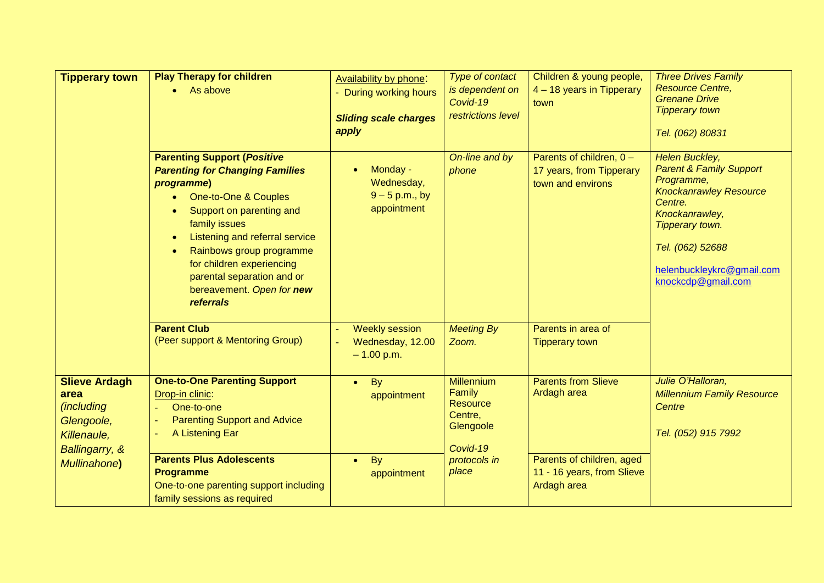| <b>Tipperary town</b>                                                                     | <b>Play Therapy for children</b><br>• As above                                                                                                                                                                                                                                                                                                               | Availability by phone:<br>- During working hours<br><b>Sliding scale charges</b><br>apply | Type of contact<br>is dependent on<br>Covid-19<br>restrictions level               | Children & young people,<br>4 - 18 years in Tipperary<br>town               | <b>Three Drives Family</b><br><b>Resource Centre,</b><br><b>Grenane Drive</b><br><b>Tipperary town</b><br>Tel. (062) 80831                                                                                                 |
|-------------------------------------------------------------------------------------------|--------------------------------------------------------------------------------------------------------------------------------------------------------------------------------------------------------------------------------------------------------------------------------------------------------------------------------------------------------------|-------------------------------------------------------------------------------------------|------------------------------------------------------------------------------------|-----------------------------------------------------------------------------|----------------------------------------------------------------------------------------------------------------------------------------------------------------------------------------------------------------------------|
|                                                                                           | <b>Parenting Support (Positive</b><br><b>Parenting for Changing Families</b><br>programme)<br>One-to-One & Couples<br>Support on parenting and<br>family issues<br>Listening and referral service<br>$\bullet$<br>Rainbows group programme<br>$\bullet$<br>for children experiencing<br>parental separation and or<br>bereavement. Open for new<br>referrals | Monday -<br>Wednesday,<br>$9 - 5$ p.m., by<br>appointment                                 | On-line and by<br>phone                                                            | Parents of children, $0 -$<br>17 years, from Tipperary<br>town and environs | Helen Buckley,<br><b>Parent &amp; Family Support</b><br>Programme,<br><b>Knockanrawley Resource</b><br>Centre.<br>Knockanrawley,<br>Tipperary town.<br>Tel. (062) 52688<br>helenbuckleykrc@gmail.com<br>knockcdp@gmail.com |
|                                                                                           | <b>Parent Club</b><br>(Peer support & Mentoring Group)                                                                                                                                                                                                                                                                                                       | <b>Weekly session</b><br>Wednesday, 12.00<br>$-1.00$ p.m.                                 | <b>Meeting By</b><br>Zoom.                                                         | Parents in area of<br><b>Tipperary town</b>                                 |                                                                                                                                                                                                                            |
| <b>Slieve Ardagh</b><br>area<br>(including<br>Glengoole,<br>Killenaule,<br>Ballingarry, & | <b>One-to-One Parenting Support</b><br>Drop-in clinic:<br>One-to-one<br><b>Parenting Support and Advice</b><br>A Listening Ear                                                                                                                                                                                                                               | <b>By</b><br>$\bullet$<br>appointment                                                     | <b>Millennium</b><br>Family<br><b>Resource</b><br>Centre,<br>Glengoole<br>Covid-19 | <b>Parents from Slieve</b><br>Ardagh area                                   | Julie O'Halloran,<br><b>Millennium Family Resource</b><br>Centre<br>Tel. (052) 915 7992                                                                                                                                    |
| <b>Mullinahone</b> )                                                                      | <b>Parents Plus Adolescents</b><br><b>Programme</b><br>One-to-one parenting support including<br>family sessions as required                                                                                                                                                                                                                                 | By<br>$\bullet$<br>appointment                                                            | protocols in<br>place                                                              | Parents of children, aged<br>11 - 16 years, from Slieve<br>Ardagh area      |                                                                                                                                                                                                                            |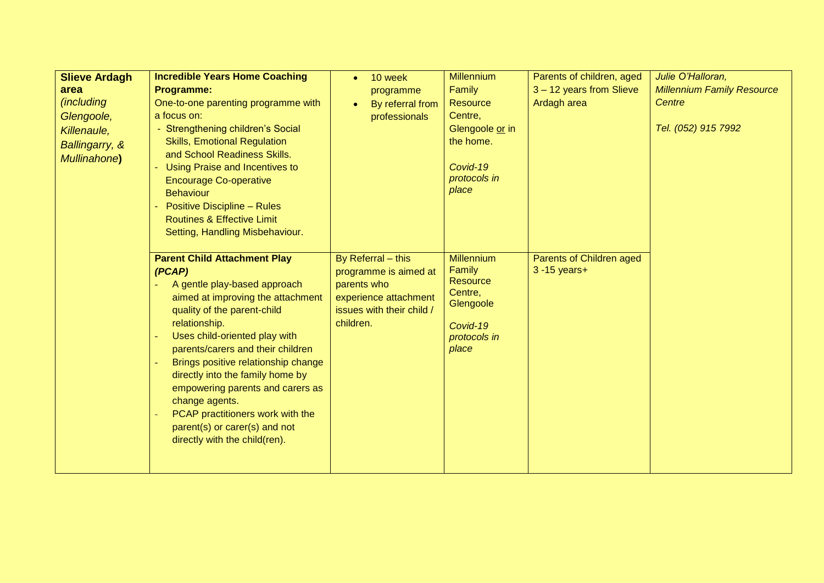| <b>Slieve Ardagh</b> | <b>Incredible Years Home Coaching</b>                                               | 10 week<br>$\bullet$          | <b>Millennium</b>     | Parents of children, aged | Julie O'Halloran,                 |
|----------------------|-------------------------------------------------------------------------------------|-------------------------------|-----------------------|---------------------------|-----------------------------------|
| area                 | <b>Programme:</b>                                                                   | programme                     | Family                | 3 - 12 years from Slieve  | <b>Millennium Family Resource</b> |
| <i>(including</i>    | One-to-one parenting programme with                                                 | By referral from<br>$\bullet$ | Resource              | Ardagh area               | Centre                            |
| Glengoole,           | a focus on:                                                                         | professionals                 | Centre,               |                           |                                   |
| Killenaule,          | - Strengthening children's Social                                                   |                               | Glengoole or in       |                           | Tel. (052) 915 7992               |
| Ballingarry, &       | <b>Skills, Emotional Regulation</b>                                                 |                               | the home.             |                           |                                   |
| <b>Mullinahone</b> ) | and School Readiness Skills.                                                        |                               |                       |                           |                                   |
|                      | Using Praise and Incentives to                                                      |                               | Covid-19              |                           |                                   |
|                      | <b>Encourage Co-operative</b>                                                       |                               | protocols in          |                           |                                   |
|                      | <b>Behaviour</b>                                                                    |                               | place                 |                           |                                   |
|                      | <b>Positive Discipline - Rules</b>                                                  |                               |                       |                           |                                   |
|                      | <b>Routines &amp; Effective Limit</b>                                               |                               |                       |                           |                                   |
|                      | Setting, Handling Misbehaviour.                                                     |                               |                       |                           |                                   |
|                      |                                                                                     |                               |                       |                           |                                   |
|                      | <b>Parent Child Attachment Play</b>                                                 | By Referral - this            | <b>Millennium</b>     | Parents of Children aged  |                                   |
|                      | (PCAP)                                                                              | programme is aimed at         | Family<br>Resource    | $3 - 15$ years+           |                                   |
|                      | A gentle play-based approach                                                        | parents who                   | Centre,               |                           |                                   |
|                      | aimed at improving the attachment                                                   | experience attachment         | Glengoole             |                           |                                   |
|                      | quality of the parent-child                                                         | issues with their child /     |                       |                           |                                   |
|                      | relationship.                                                                       | children.                     | Covid-19              |                           |                                   |
|                      | Uses child-oriented play with                                                       |                               | protocols in<br>place |                           |                                   |
|                      | parents/carers and their children                                                   |                               |                       |                           |                                   |
|                      | Brings positive relationship change<br>$\equiv$<br>directly into the family home by |                               |                       |                           |                                   |
|                      | empowering parents and carers as                                                    |                               |                       |                           |                                   |
|                      | change agents.                                                                      |                               |                       |                           |                                   |
|                      | PCAP practitioners work with the                                                    |                               |                       |                           |                                   |
|                      | parent(s) or carer(s) and not                                                       |                               |                       |                           |                                   |
|                      | directly with the child(ren).                                                       |                               |                       |                           |                                   |
|                      |                                                                                     |                               |                       |                           |                                   |
|                      |                                                                                     |                               |                       |                           |                                   |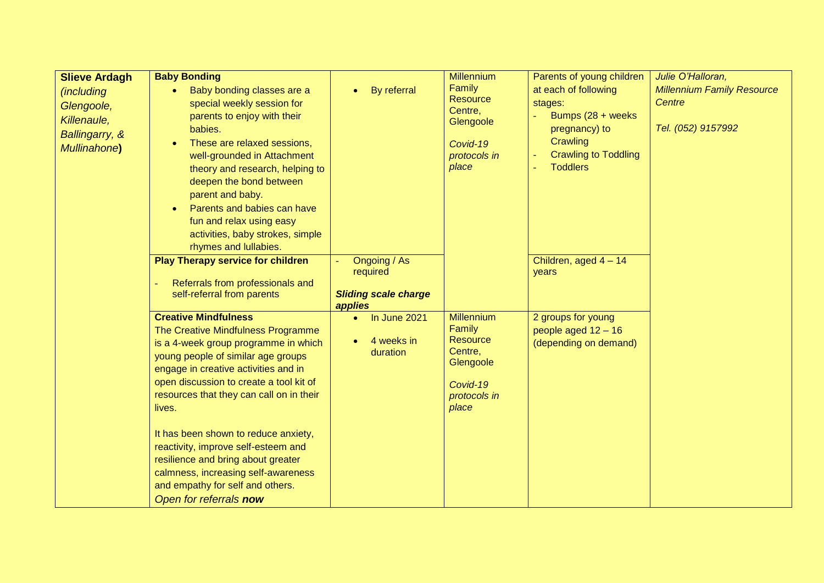| <b>Slieve Ardagh</b>                                                              | <b>Baby Bonding</b>                                                                                                                                                                                                                                                                                                                                                                                                                                                                      |                                                                    | <b>Millennium</b>                                                                                           | Parents of young children                                                                                                            | Julie O'Halloran,                                                        |
|-----------------------------------------------------------------------------------|------------------------------------------------------------------------------------------------------------------------------------------------------------------------------------------------------------------------------------------------------------------------------------------------------------------------------------------------------------------------------------------------------------------------------------------------------------------------------------------|--------------------------------------------------------------------|-------------------------------------------------------------------------------------------------------------|--------------------------------------------------------------------------------------------------------------------------------------|--------------------------------------------------------------------------|
| (including<br>Glengoole,<br>Killenaule,<br>Ballingarry, &<br><b>Mullinahone</b> ) | Baby bonding classes are a<br>$\bullet$<br>special weekly session for<br>parents to enjoy with their<br>babies.<br>These are relaxed sessions,<br>well-grounded in Attachment<br>theory and research, helping to<br>deepen the bond between<br>parent and baby.<br>Parents and babies can have<br>$\bullet$<br>fun and relax using easy<br>activities, baby strokes, simple<br>rhymes and lullabies.                                                                                     | By referral<br>$\bullet$                                           | Family<br><b>Resource</b><br>Centre,<br>Glengoole<br>Covid-19<br>protocols in<br>place                      | at each of following<br>stages:<br>Bumps (28 + weeks)<br>pregnancy) to<br>Crawling<br><b>Crawling to Toddling</b><br><b>Toddlers</b> | <b>Millennium Family Resource</b><br><b>Centre</b><br>Tel. (052) 9157992 |
|                                                                                   | <b>Play Therapy service for children</b><br>Referrals from professionals and<br>self-referral from parents                                                                                                                                                                                                                                                                                                                                                                               | Ongoing / As<br>required<br><b>Sliding scale charge</b><br>applies |                                                                                                             | Children, aged $4 - 14$<br>years                                                                                                     |                                                                          |
|                                                                                   | <b>Creative Mindfulness</b><br>The Creative Mindfulness Programme<br>is a 4-week group programme in which<br>young people of similar age groups<br>engage in creative activities and in<br>open discussion to create a tool kit of<br>resources that they can call on in their<br>lives.<br>It has been shown to reduce anxiety,<br>reactivity, improve self-esteem and<br>resilience and bring about greater<br>calmness, increasing self-awareness<br>and empathy for self and others. | In June 2021<br>4 weeks in<br>duration                             | <b>Millennium</b><br>Family<br><b>Resource</b><br>Centre,<br>Glengoole<br>Covid-19<br>protocols in<br>place | 2 groups for young<br>people aged $12 - 16$<br>(depending on demand)                                                                 |                                                                          |
|                                                                                   | Open for referrals now                                                                                                                                                                                                                                                                                                                                                                                                                                                                   |                                                                    |                                                                                                             |                                                                                                                                      |                                                                          |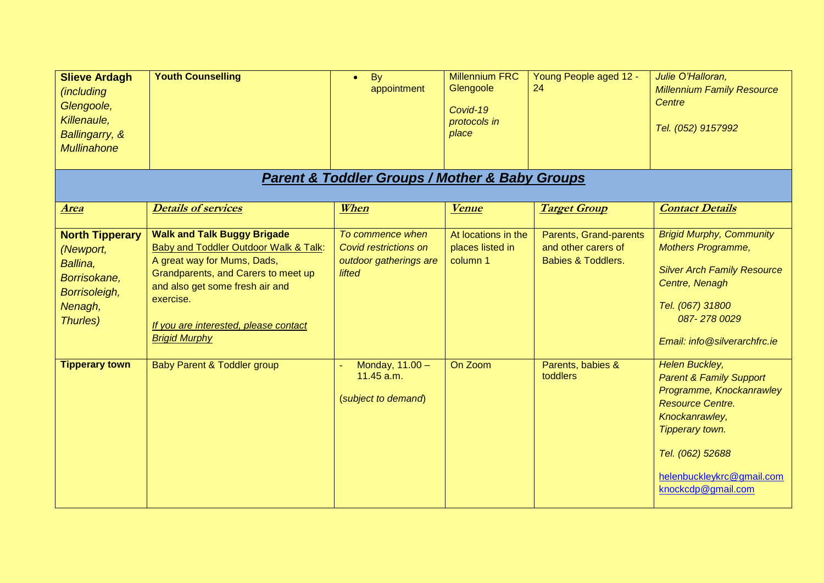| <b>Slieve Ardagh</b><br>(including<br>Glengoole,<br>Killenaule,<br>Ballingarry, &<br>Mullinahone        | <b>Youth Counselling</b>                                                                                                                                                                                                                                           | By<br>$\bullet$<br>appointment                                                | <b>Millennium FRC</b><br>Glengoole<br>Covid-19<br>protocols in<br>place | Young People aged 12 -<br>24                                                   | Julie O'Halloran,<br><b>Millennium Family Resource</b><br>Centre<br>Tel. (052) 9157992                                                                                                                                  |  |  |  |  |
|---------------------------------------------------------------------------------------------------------|--------------------------------------------------------------------------------------------------------------------------------------------------------------------------------------------------------------------------------------------------------------------|-------------------------------------------------------------------------------|-------------------------------------------------------------------------|--------------------------------------------------------------------------------|-------------------------------------------------------------------------------------------------------------------------------------------------------------------------------------------------------------------------|--|--|--|--|
| <b>Parent &amp; Toddler Groups / Mother &amp; Baby Groups</b>                                           |                                                                                                                                                                                                                                                                    |                                                                               |                                                                         |                                                                                |                                                                                                                                                                                                                         |  |  |  |  |
| <u>Area</u>                                                                                             | <b>Details of services</b>                                                                                                                                                                                                                                         | When                                                                          | <b>Venue</b>                                                            | <b>Target Group</b>                                                            | <b>Contact Details</b>                                                                                                                                                                                                  |  |  |  |  |
| <b>North Tipperary</b><br>(Newport,<br>Ballina,<br>Borrisokane,<br>Borrisoleigh,<br>Nenagh,<br>Thurles) | <b>Walk and Talk Buggy Brigade</b><br>Baby and Toddler Outdoor Walk & Talk:<br>A great way for Mums, Dads,<br>Grandparents, and Carers to meet up<br>and also get some fresh air and<br>exercise.<br>If you are interested, please contact<br><b>Brigid Murphy</b> | To commence when<br>Covid restrictions on<br>outdoor gatherings are<br>lifted | At locations in the<br>places listed in<br>column 1                     | Parents, Grand-parents<br>and other carers of<br><b>Babies &amp; Toddlers.</b> | <b>Brigid Murphy, Community</b><br><b>Mothers Programme,</b><br><b>Silver Arch Family Resource</b><br>Centre, Nenagh<br>Tel. (067) 31800<br>087-2780029<br>Email: info@silverarchfrc.ie                                 |  |  |  |  |
| <b>Tipperary town</b>                                                                                   | <b>Baby Parent &amp; Toddler group</b>                                                                                                                                                                                                                             | Monday, 11.00 -<br>11.45 a.m.<br>(subject to demand)                          | On Zoom                                                                 | Parents, babies &<br>toddlers                                                  | Helen Buckley,<br><b>Parent &amp; Family Support</b><br>Programme, Knockanrawley<br><b>Resource Centre.</b><br>Knockanrawley,<br>Tipperary town.<br>Tel. (062) 52688<br>helenbuckleykrc@gmail.com<br>knockcdp@gmail.com |  |  |  |  |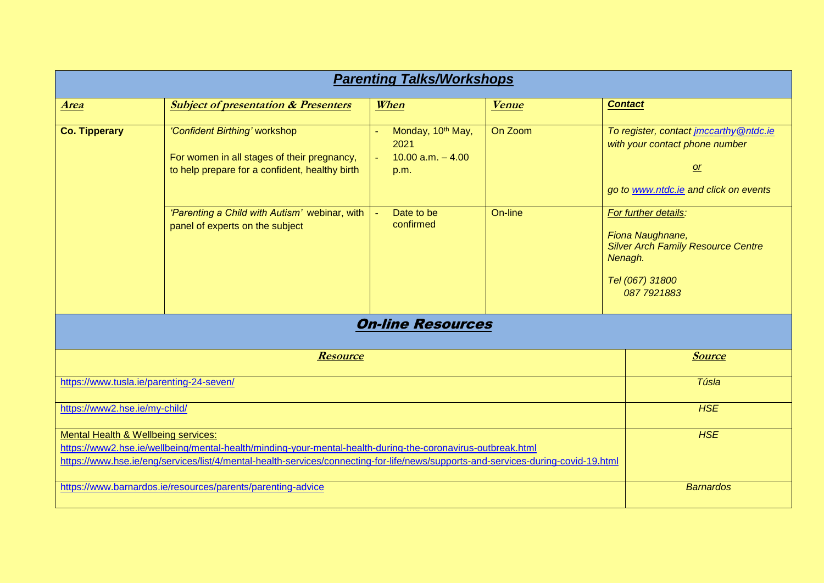| <b>Parenting Talks/Workshops</b>                                                                                                                                                                                                                                                        |                                                                                                                                |                                                           |              |                                                                                                                                     |  |  |  |
|-----------------------------------------------------------------------------------------------------------------------------------------------------------------------------------------------------------------------------------------------------------------------------------------|--------------------------------------------------------------------------------------------------------------------------------|-----------------------------------------------------------|--------------|-------------------------------------------------------------------------------------------------------------------------------------|--|--|--|
| <b>Area</b>                                                                                                                                                                                                                                                                             | <b>Subject of presentation &amp; Presenters</b>                                                                                | When                                                      | <b>Venue</b> | <b>Contact</b>                                                                                                                      |  |  |  |
| <b>Co. Tipperary</b>                                                                                                                                                                                                                                                                    | 'Confident Birthing' workshop<br>For women in all stages of their pregnancy,<br>to help prepare for a confident, healthy birth | Monday, 10th May,<br>2021<br>$10.00$ a.m. $-4.00$<br>p.m. | On Zoom      | To register, contact jmccarthy @ntdc.ie<br>with your contact phone number<br>or<br>go to www.ntdc.ie and click on events            |  |  |  |
|                                                                                                                                                                                                                                                                                         | 'Parenting a Child with Autism' webinar, with<br>panel of experts on the subject                                               | Date to be<br>confirmed                                   | On-line      | For further details:<br>Fiona Naughnane,<br><b>Silver Arch Family Resource Centre</b><br>Nenagh.<br>Tel (067) 31800<br>087 792 1883 |  |  |  |
| <b>On-line Resources</b>                                                                                                                                                                                                                                                                |                                                                                                                                |                                                           |              |                                                                                                                                     |  |  |  |
|                                                                                                                                                                                                                                                                                         | <b>Source</b>                                                                                                                  |                                                           |              |                                                                                                                                     |  |  |  |
| https://www.tusla.ie/parenting-24-seven/                                                                                                                                                                                                                                                | Túsla                                                                                                                          |                                                           |              |                                                                                                                                     |  |  |  |
| https://www2.hse.ie/my-child/                                                                                                                                                                                                                                                           | <b>HSE</b>                                                                                                                     |                                                           |              |                                                                                                                                     |  |  |  |
| Mental Health & Wellbeing services:<br>https://www2.hse.ie/wellbeing/mental-health/minding-your-mental-health-during-the-coronavirus-outbreak.html<br>https://www.hse.ie/eng/services/list/4/mental-health-services/connecting-for-life/news/supports-and-services-during-covid-19.html | <b>HSE</b>                                                                                                                     |                                                           |              |                                                                                                                                     |  |  |  |
| https://www.barnardos.ie/resources/parents/parenting-advice                                                                                                                                                                                                                             |                                                                                                                                |                                                           |              | <b>Barnardos</b>                                                                                                                    |  |  |  |